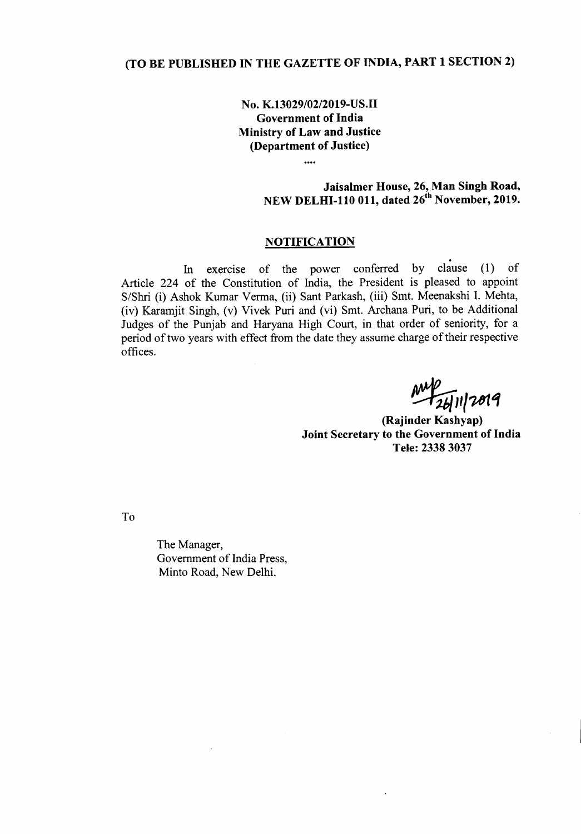## (TO BE PUBLISHED IN THE GAZETTE OF INDIA, PART 1 SECTION 2)

No. K.13029/02/2019-US.II Government of India Ministry of Law and Justice (Department of Justice)

 $\ddotsc$ 

Jaisalmer House, 26, Man Singh Road, NEW DELHI-110 011, dated 26<sup>th</sup> November, 2019.

## **NOTIFICATION**

. In exercise of the power conferred by clause (1) of Article 224 of the Constitution of India, the President is pleased to appoint S/Shri (i) Ashok Kumar Verma, (ii) Sant Parkash, (iii) Smt. Meenakshi 1. Mehta, (iv) Karamjit Singh, (v) Vivek Puri and (vi) Smt. Archana Puri, to be Additional Judges of the Punjab and Haryana High Court, in that order of seniority, for a period of two years with effect from the date they assume charge of their respective offices.

**My 1619** 

(Rajinder Kashyap) Joint Secretary to the Government of India Tele: 23383037

To

The Manager, Government of India Press, Minto Road, New Delhi.